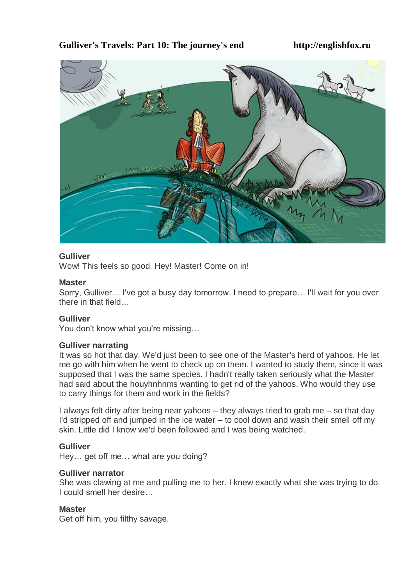# **Gulliver's Travels: Part 10: The journey's end http://englishfox.ru**



# **Gulliver**

Wow! This feels so good. Hey! Master! Come on in!

# **Master**

Sorry, Gulliver… I've got a busy day tomorrow. I need to prepare… I'll wait for you over there in that field…

# **Gulliver**

You don't know what you're missing…

# **Gulliver narrating**

It was so hot that day. We'd just been to see one of the Master's herd of yahoos. He let me go with him when he went to check up on them. I wanted to study them, since it was supposed that I was the same species. I hadn't really taken seriously what the Master had said about the houyhnhnms wanting to get rid of the yahoos. Who would they use to carry things for them and work in the fields?

I always felt dirty after being near yahoos – they always tried to grab me – so that day I'd stripped off and jumped in the ice water  $-$  to cool down and wash their smell off my skin. Little did I know we'd been followed and I was being watched.

# **Gulliver**

Hey… get off me… what are you doing?

# **Gulliver narrator**

She was clawing at me and pulling me to her. I knew exactly what she was trying to do. I could smell her desire…

# **Master**

Get off him, you filthy savage.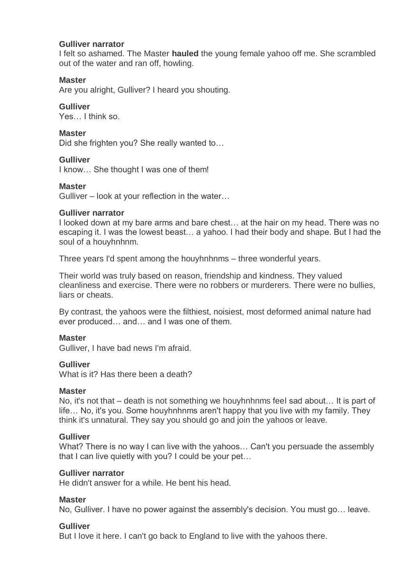### **Gulliver narrator**

I felt so ashamed. The Master **hauled** the young female yahoo off me. She scrambled out of the water and ran off, howling.

# **Master**

Are you alright, Gulliver? I heard you shouting.

### **Gulliver**

Yes… I think so.

### **Master**

Did she frighten you? She really wanted to…

# **Gulliver**

I know… She thought I was one of them!

### **Master**

Gulliver – look at your reflection in the water…

### **Gulliver narrator**

I looked down at my bare arms and bare chest… at the hair on my head. There was no escaping it. I was the lowest beast… a yahoo. I had their body and shape. But I had the soul of a houyhnhnm.

Three years I'd spent among the houyhnhnms – three wonderful years.

Their world was truly based on reason, friendship and kindness. They valued cleanliness and exercise. There were no robbers or murderers. There were no bullies, liars or cheats.

By contrast, the yahoos were the filthiest, noisiest, most deformed animal nature had ever produced… and… and I was one of them.

# **Master**

Gulliver, I have bad news I'm afraid.

# **Gulliver**

What is it? Has there been a death?

#### **Master**

No, it's not that – death is not something we houyhnhnms feel sad about… It is part of life… No, it's you. Some houyhnhnms aren't happy that you live with my family. They think it's unnatural. They say you should go and join the yahoos or leave.

# **Gulliver**

What? There is no way I can live with the yahoos… Can't you persuade the assembly that I can live quietly with you? I could be your pet…

#### **Gulliver narrator**

He didn't answer for a while. He bent his head.

# **Master**

No, Gulliver. I have no power against the assembly's decision. You must go… leave.

# **Gulliver**

But I love it here. I can't go back to England to live with the yahoos there.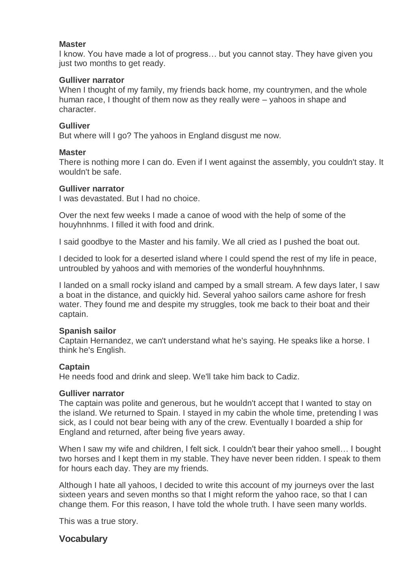### **Master**

I know. You have made a lot of progress… but you cannot stay. They have given you just two months to get ready.

# **Gulliver narrator**

When I thought of my family, my friends back home, my countrymen, and the whole human race, I thought of them now as they really were – yahoos in shape and character.

### **Gulliver**

But where will I go? The yahoos in England disgust me now.

### **Master**

There is nothing more I can do. Even if I went against the assembly, you couldn't stay. It wouldn't be safe.

#### **Gulliver narrator**

I was devastated. But I had no choice.

Over the next few weeks I made a canoe of wood with the help of some of the houyhnhnms. I filled it with food and drink.

I said goodbye to the Master and his family. We all cried as I pushed the boat out.

I decided to look for a deserted island where I could spend the rest of my life in peace, untroubled by yahoos and with memories of the wonderful houyhnhnms.

I landed on a small rocky island and camped by a small stream. A few days later, I saw a boat in the distance, and quickly hid. Several yahoo sailors came ashore for fresh water. They found me and despite my struggles, took me back to their boat and their captain.

# **Spanish sailor**

Captain Hernandez, we can't understand what he's saying. He speaks like a horse. I think he's English.

# **Captain**

He needs food and drink and sleep. We'll take him back to Cadiz.

#### **Gulliver narrator**

The captain was polite and generous, but he wouldn't accept that I wanted to stay on the island. We returned to Spain. I stayed in my cabin the whole time, pretending I was sick, as I could not bear being with any of the crew. Eventually I boarded a ship for England and returned, after being five years away.

When I saw my wife and children, I felt sick. I couldn't bear their yahoo smell... I bought two horses and I kept them in my stable. They have never been ridden. I speak to them for hours each day. They are my friends.

Although I hate all yahoos, I decided to write this account of my journeys over the last sixteen years and seven months so that I might reform the yahoo race, so that I can change them. For this reason, I have told the whole truth. I have seen many worlds.

This was a true story.

# **Vocabulary**